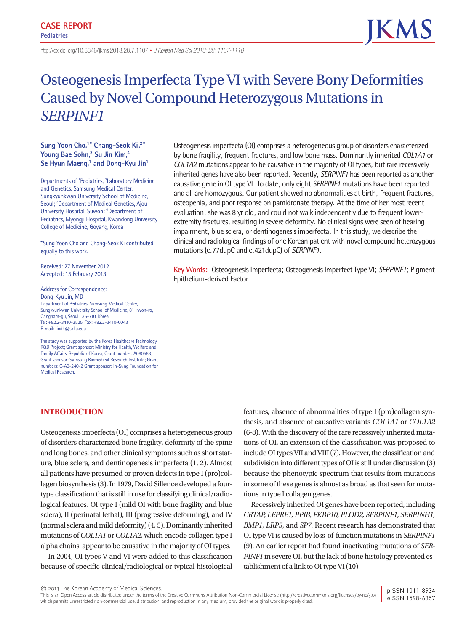http://dx.doi.org/10.3346/ jkms.2013.28.7.1107 • *J Korean Med Sci 2013; 28: 1107-1110*

# Osteogenesis Imperfecta Type VI with Severe Bony Deformities Caused by Novel Compound Heterozygous Mutations in *SERPINF1*

mutations (c.77dupC and c.421dupC) of *SERPINF1*.

## **Sung Yoon Cho,1\* Chang-Seok Ki,2\*** Young Bae Sohn,<sup>3</sup> Su Jin Kim,<sup>4</sup> Se Hyun Maeng,<sup>1</sup> and Dong-Kyu Jin<sup>1</sup>

Departments of <sup>1</sup>Pediatrics, <sup>2</sup>Laboratory Medicine and Genetics, Samsung Medical Center, Sungkyunkwan University School of Medicine, Seoul; <sup>3</sup>Department of Medical Genetics, Ajou University Hospital, Suwon; <sup>4</sup>Department of Pediatrics, Myongji Hospital, Kwandong University College of Medicine, Goyang, Korea

\*Sung Yoon Cho and Chang-Seok Ki contributed equally to this work.

Received: 27 November 2012 Accepted: 15 February 2013

Address for Correspondence: Dong-Kyu Jin, MD Department of Pediatrics, Samsung Medical Center, Sungkyunkwan University School of Medicine, 81 Irwon-ro, Gangnam-gu, Seoul 135-710, Korea Tel: +82.2-3410-3525, Fax: +82.2-3410-0043 E-mail: jindk@skku.edu

The study was supported by the Korea Healthcare Technology R&D Project; Grant sponsor: Ministry for Health, Welfare and Family Affairs, Republic of Korea; Grant number: A080588; Grant sponsor: Samsung Biomedical Research Institute; Grant numbers: C-A9-240-2 Grant sponsor: In-Sung Foundation for Medical Research.

# **INTRODUCTION**

Osteogenesis imperfecta (OI) comprises a heterogeneous group of disorders characterized bone fragility, deformity of the spine and long bones, and other clinical symptoms such as short stature, blue sclera, and dentinogenesis imperfecta (1, 2). Almost all patients have presumed or proven defects in type I (pro)collagen biosynthesis (3). In 1979, David Sillence developed a fourtype classification that is still in use for classifying clinical/radiological features: OI type I (mild OI with bone fragility and blue sclera), II (perinatal lethal), III (progressive deforming), and IV (normal sclera and mild deformity) (4, 5). Dominantly inherited mutations of *COL1A1* or *COL1A2*, which encode collagen type I alpha chains, appear to be causative in the majority of OI types.

In 2004, OI types V and VI were added to this classification because of specific clinical/radiological or typical histological features, absence of abnormalities of type I (pro)collagen synthesis, and absence of causative variants *COL1A1* or *COL1A2* (6-8). With the discovery of the rare recessively inherited mutations of OI, an extension of the classification was proposed to include OI types VII and VIII (7). However, the classification and subdivision into different types of OI is still under discussion (3) because the phenotypic spectrum that results from mutations in some of these genes is almost as broad as that seen for mutations in type I collagen genes.

Recessively inherited OI genes have been reported, including *CRTAP, LEPRE1, PPIB, FKBP10, PLOD2, SERPINF1, SERPINH1, BMP1, LRP5*, and *SP7*. Recent research has demonstrated that OI type VI is caused by loss-of-function mutations in *SERPINF1* (9). An earlier report had found inactivating mutations of *SER-PINF1* in severe OI, but the lack of bone histology prevented establishment of a link to OI type VI (10).

**Key Words:** Osteogenesis Imperfecta; Osteogenesis Imperfect Type VI; *SERPINF1*; Pigment Epithelium-derived Factor

Osteogenesis imperfecta (OI) comprises a heterogeneous group of disorders characterized by bone fragility, frequent fractures, and low bone mass. Dominantly inherited *COL1A1* or *COL1A2* mutations appear to be causative in the majority of OI types, but rare recessively inherited genes have also been reported. Recently, *SERPINF1* has been reported as another causative gene in OI type VI. To date, only eight *SERPINF1* mutations have been reported and all are homozygous. Our patient showed no abnormalities at birth, frequent fractures, osteopenia, and poor response on pamidronate therapy. At the time of her most recent evaluation, she was 8 yr old, and could not walk independently due to frequent lowerextremity fractures, resulting in severe deformity. No clinical signs were seen of hearing impairment, blue sclera, or dentinogenesis imperfecta. In this study, we describe the clinical and radiological findings of one Korean patient with novel compound heterozygous

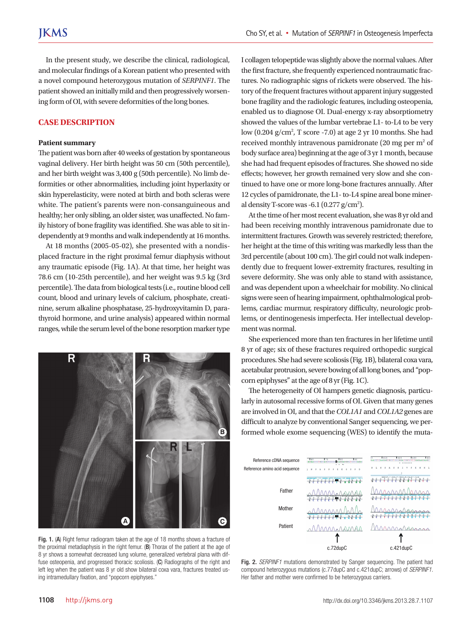In the present study, we describe the clinical, radiological, and molecular findings of a Korean patient who presented with a novel compound heterozygous mutation of *SERPINF1*. The patient showed an initially mild and then progressively worsening form of OI, with severe deformities of the long bones.

### **CASE DESCRIPTION**

#### **Patient summary**

The patient was born after 40 weeks of gestation by spontaneous vaginal delivery. Her birth height was 50 cm (50th percentile), and her birth weight was 3,400 g (50th percentile). No limb deformities or other abnormalities, including joint hyperlaxity or skin hyperelasticity, were noted at birth and both scleras were white. The patient's parents were non-consanguineous and healthy; her only sibling, an older sister, was unaffected. No family history of bone fragility was identified. She was able to sit independently at 9 months and walk independently at 16 months.

At 18 months (2005-05-02), she presented with a nondisplaced fracture in the right proximal femur diaphysis without any traumatic episode (Fig. 1A). At that time, her height was 78.6 cm (10-25th percentile), and her weight was 9.5 kg (3rd percentile). The data from biological tests (i.e., routine blood cell count, blood and urinary levels of calcium, phosphate, creatinine, serum alkaline phosphatase, 25-hydroxyvitamin D, parathyroid hormone, and urine analysis) appeared within normal ranges, while the serum level of the bone resorption marker type



Fig. 1. (A) Right femur radiogram taken at the age of 18 months shows a fracture of the proximal metadiaphysis in the right femur. (B) Thorax of the patient at the age of 8 yr shows a somewhat decreased lung volume, generalized vertebral plana with diffuse osteopenia, and progressed thoracic scoliosis. (C) Radiographs of the right and left leg when the patient was 8 yr old show bilateral coxa vara, fractures treated using intramedullary fixation, and "popcorn epiphyses."

I collagen telopeptide was slightly above the normal values. After the first fracture, she frequently experienced nontraumatic fractures. No radiographic signs of rickets were observed. The history of the frequent fractures without apparent injury suggested bone fragility and the radiologic features, including osteopenia, enabled us to diagnose OI. Dual-energy x-ray absorptiometry showed the values of the lumbar vertebrae L1- to-L4 to be very low  $(0.204 \text{ g/cm}^2)$ , T score -7.0) at age 2 yr 10 months. She had received monthly intravenous pamidronate (20 mg per  $m^2$  of body surface area) beginning at the age of 3 yr 1 month, because she had had frequent episodes of fractures. She showed no side effects; however, her growth remained very slow and she continued to have one or more long-bone fractures annually. After 12 cycles of pamidronate, the L1- to-L4 spine areal bone mineral density T-score was -6.1 ( $0.277$  g/cm<sup>2</sup>).

At the time of her most recent evaluation, she was 8 yr old and had been receiving monthly intravenous pamidronate due to intermittent fractures. Growth was severely restricted; therefore, her height at the time of this writing was markedly less than the 3rd percentile (about 100 cm). The girl could not walk independently due to frequent lower-extremity fractures, resulting in severe deformity. She was only able to stand with assistance, and was dependent upon a wheelchair for mobility. No clinical signs were seen of hearing impairment, ophthalmological problems, cardiac murmur, respiratory difficulty, neurologic problems, or dentinogenesis imperfecta. Her intellectual development was normal.

She experienced more than ten fractures in her lifetime until 8 yr of age; six of these fractures required orthopedic surgical procedures. She had severe scoliosis (Fig. 1B), bilateral coxa vara, acetabular protrusion, severe bowing of all long bones, and "popcorn epiphyses" at the age of 8 yr (Fig. 1C).

The heterogeneity of OI hampers genetic diagnosis, particularly in autosomal recessive forms of OI. Given that many genes are involved in OI, and that the *COL1A1* and *COL1A2* genes are difficult to analyze by conventional Sanger sequencing, we performed whole exome sequencing (WES) to identify the muta-



Fig. 2. *SERPINF1* mutations demonstrated by Sanger sequencing. The patient had compound heterozygous mutations (c.77dupC and c.421dupC; arrows) of *SERPINF1*. Her father and mother were confirmed to be heterozygous carriers.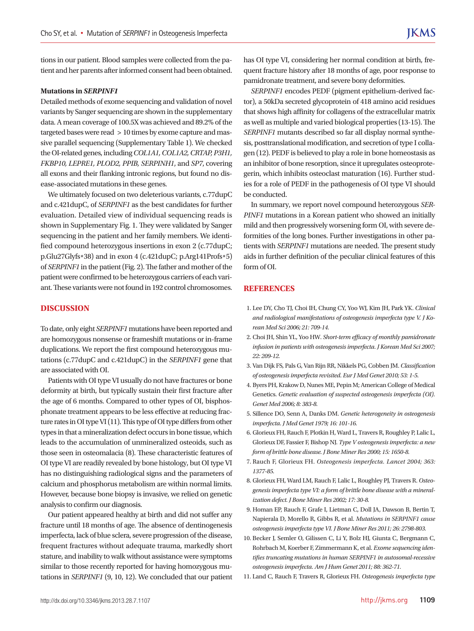tions in our patient. Blood samples were collected from the patient and her parents after informed consent had been obtained.

#### **Mutations in** *SERPINF1*

Detailed methods of exome sequencing and validation of novel variants by Sanger sequencing are shown in the supplementary data. A mean coverage of 100.5X was achieved and 89.2% of the targeted bases were read > 10 times by exome capture and massive parallel sequencing (Supplementary Table 1). We checked the OI-related genes, including *COL1A1, COL1A2, CRTAP, P3H1, FKBP10, LEPRE1, PLOD2, PPIB, SERPINH1*, and *SP7*, covering all exons and their flanking intronic regions, but found no disease-associated mutations in these genes.

We ultimately focused on two deleterious variants, c.77dupC and c.421dupC, of *SERPINF1* as the best candidates for further evaluation. Detailed view of individual sequencing reads is shown in Supplementary Fig. 1. They were validated by Sanger sequencing in the patient and her family members. We identified compound heterozygous insertions in exon 2 (c.77dupC; p.Glu27Glyfs\*38) and in exon 4 (c.421dupC; p.Arg141Profs\*5) of *SERPINF1* in the patient (Fig. 2). The father and mother of the patient were confirmed to be heterozygous carriers of each variant. These variants were not found in 192 control chromosomes.

#### **DISCUSSION**

To date, only eight *SERPINF1* mutations have been reported and are homozygous nonsense or frameshift mutations or in-frame duplications. We report the first compound heterozygous mutations (c.77dupC and c.421dupC) in the *SERPINF1* gene that are associated with OI.

Patients with OI type VI usually do not have fractures or bone deformity at birth, but typically sustain their first fracture after the age of 6 months. Compared to other types of OI, bisphosphonate treatment appears to be less effective at reducing fracture rates in OI type VI (11). This type of OI type differs from other types in that a mineralization defect occurs in bone tissue, which leads to the accumulation of unmineralized osteoids, such as those seen in osteomalacia (8). These characteristic features of OI type VI are readily revealed by bone histology, but OI type VI has no distinguishing radiological signs and the parameters of calcium and phosphorus metabolism are within normal limits. However, because bone biopsy is invasive, we relied on genetic analysis to confirm our diagnosis.

Our patient appeared healthy at birth and did not suffer any fracture until 18 months of age. The absence of dentinogenesis imperfecta, lack of blue sclera, severe progression of the disease, frequent fractures without adequate trauma, markedly short stature, and inability to walk without assistance were symptoms similar to those recently reported for having homozygous mutations in *SERPINF1* (9, 10, 12). We concluded that our patient has OI type VI, considering her normal condition at birth, frequent fracture history after 18 months of age, poor response to pamidronate treatment, and severe bony deformities.

*SERPINF1* encodes PEDF (pigment epithelium-derived factor), a 50kDa secreted glycoprotein of 418 amino acid residues that shows high affinity for collagens of the extracellular matrix as well as multiple and varied biological properties (13-15). The *SERPINF1* mutants described so far all display normal synthesis, posttranslational modification, and secretion of type I collagen (12). PEDF is believed to play a role in bone homeostasis as an inhibitor of bone resorption, since it upregulates osteoprotegerin, which inhibits osteoclast maturation (16). Further studies for a role of PEDF in the pathogenesis of OI type VI should be conducted.

In summary, we report novel compound heterozygous *SER-PINF1* mutations in a Korean patient who showed an initially mild and then progressively worsening form OI, with severe deformities of the long bones. Further investigations in other patients with *SERPINF1* mutations are needed. The present study aids in further definition of the peculiar clinical features of this form of OI.

#### **REFERENCES**

- 1. Lee DY, Cho TJ, Choi IH, Chung CY, Yoo WJ, Kim JH, Park YK. *Clinical and radiological manifestations of osteogenesis imperfecta type V. J Korean Med Sci 2006; 21: 709-14.*
- 2. Choi JH, Shin YL, Yoo HW. *Short-term efficacy of monthly pamidronate infusion in patients with osteogenesis imperfecta. J Korean Med Sci 2007; 22: 209-12.*
- 3. Van Dijk FS, Pals G, Van Rijn RR, Nikkels PG, Cobben JM. *Classification of osteogenesis imperfecta revisited. Eur J Med Genet 2010; 53: 1-5.*
- 4. Byers PH, Krakow D, Nunes ME, Pepin M; American College of Medical Genetics. *Genetic evaluation of suspected osteogenesis imperfecta (OI). Genet Med 2006; 8: 383-8.*
- 5. Sillence DO, Senn A, Danks DM. *Genetic heterogeneity in osteogenesis imperfecta. J Med Genet 1979; 16: 101-16.*
- 6. Glorieux FH, Rauch F, Plotkin H, Ward L, Travers R, Roughley P, Lalic L, Glorieux DF, Fassier F, Bishop NJ. *Type V osteogenesis imperfecta: a new form of brittle bone disease. J Bone Miner Res 2000; 15: 1650-8.*
- 7. Rauch F, Glorieux FH. *Osteogenesis imperfecta. Lancet 2004; 363: 1377-85.*
- 8. Glorieux FH, Ward LM, Rauch F, Lalic L, Roughley PJ, Travers R. *Osteogenesis imperfecta type VI: a form of brittle bone disease with a mineralization defect. J Bone Miner Res 2002; 17: 30-8.*
- 9. Homan EP, Rauch F, Grafe I, Lietman C, Doll JA, Dawson B, Bertin T, Napierala D, Morello R, Gibbs R, et al. *Mutations in SERPINF1 cause osteogenesis imperfecta type VI. J Bone Miner Res 2011; 26: 2798-803.*
- 10. Becker J, Semler O, Gilissen C, Li Y, Bolz HJ, Giunta C, Bergmann C, Rohrbach M, Koerber F, Zimmermann K, et al. *Exome sequencing identifies truncating mutations in human SERPINF1 in autosomal-recessive osteogenesis imperfecta. Am J Hum Genet 2011; 88: 362-71.*
- 11. Land C, Rauch F, Travers R, Glorieux FH. *Osteogenesis imperfecta type*